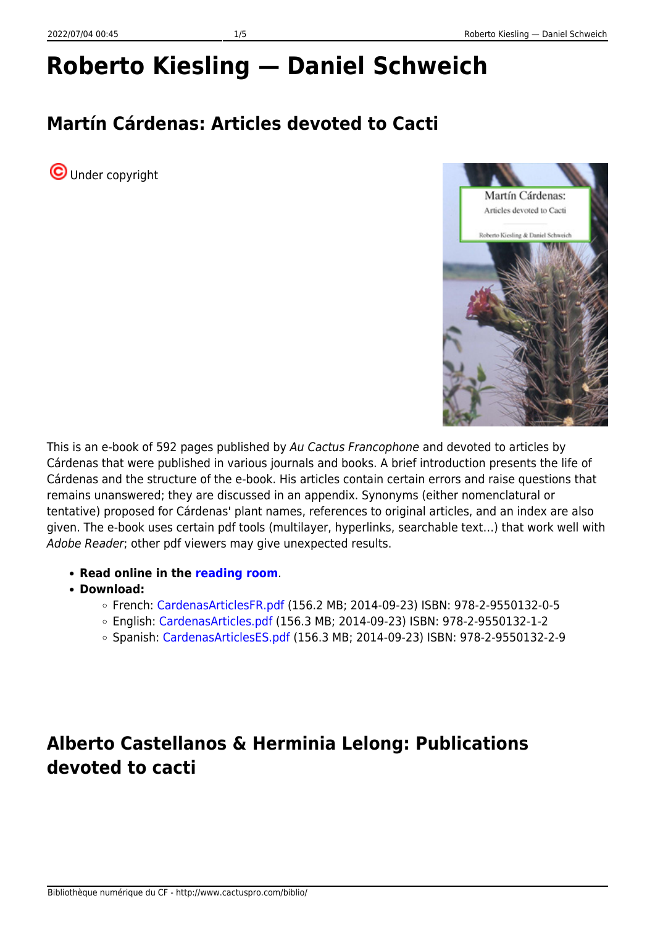# **Roberto Kiesling — Daniel Schweich**

## **Martín Cárdenas: Articles devoted to Cacti**

**O**Under copyright



This is an e-book of 592 pages published by Au Cactus Francophone and devoted to articles by Cárdenas that were published in various journals and books. A brief introduction presents the life of Cárdenas and the structure of the e-book. His articles contain certain errors and raise questions that remains unanswered; they are discussed in an appendix. Synonyms (either nomenclatural or tentative) proposed for Cárdenas' plant names, references to original articles, and an index are also given. The e-book uses certain pdf tools (multilayer, hyperlinks, searchable text…) that work well with Adobe Reader; other pdf viewers may give unexpected results.

- **Read online in the [reading room](https://www.cactuspro.com/lecture/Kiesling-Schweich/CardenasArticles/page-1.en.html)**.
- **Download:**
	- French: [CardenasArticlesFR.pdf](https://www.cactuspro.com/biblio_fichiers/pdf/KieslingRoberto/CardenasArticlesFR.pdf) (156.2 MB; 2014-09-23) ISBN: 978-2-9550132-0-5
	- English: [CardenasArticles.pdf](https://www.cactuspro.com/biblio_fichiers/pdf/KieslingRoberto/CardenasArticles.pdf) (156.3 MB; 2014-09-23) ISBN: 978-2-9550132-1-2
	- Spanish: [CardenasArticlesES.pdf](https://www.cactuspro.com/biblio_fichiers/pdf/KieslingRoberto/CardenasArticlesES.pdf) (156.3 MB; 2014-09-23) ISBN: 978-2-9550132-2-9

### **Alberto Castellanos & Herminia Lelong: Publications devoted to cacti**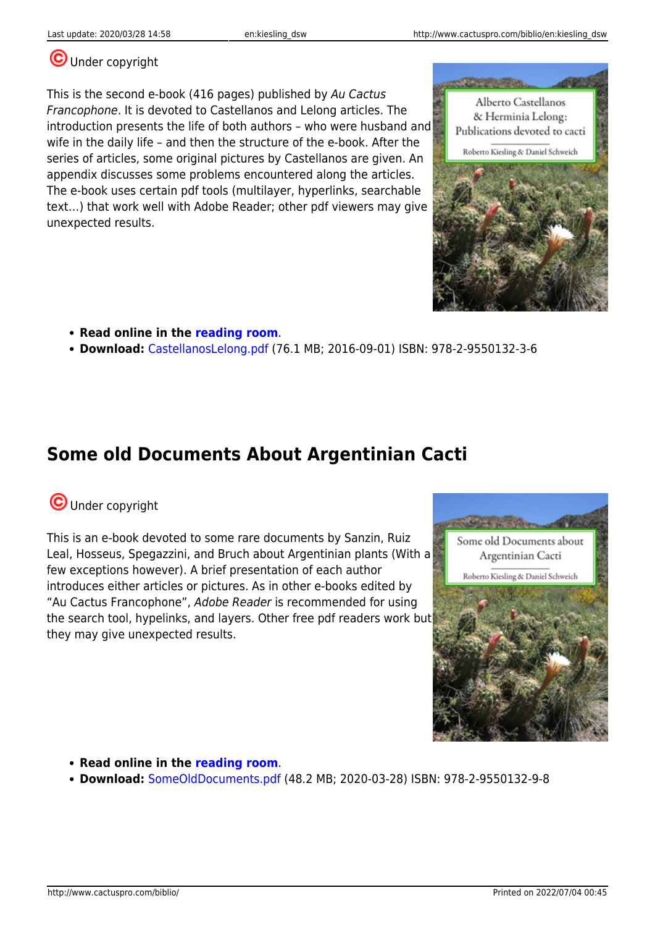Alberto Castellanos & Herminia Lelong:

#### **U**Under copyright

This is the second e-book (416 pages) published by Au Cactus Francophone. It is devoted to Castellanos and Lelong articles. The introduction presents the life of both authors – who were husband and wife in the daily life – and then the structure of the e-book. After the series of articles, some original pictures by Castellanos are given. An appendix discusses some problems encountered along the articles. The e-book uses certain pdf tools (multilayer, hyperlinks, searchable text…) that work well with Adobe Reader; other pdf viewers may give unexpected results.

- **Read online in the [reading room](https://www.cactuspro.com/lecture/Kiesling-Schweich/CastellanosLelong/page-1.en.html)**.
- **Download:** [CastellanosLelong.pdf](https://www.cactuspro.com/biblio_fichiers/pdf/KieslingRoberto/CastellanosLelong.pdf) (76.1 MB; 2016-09-01) ISBN: 978-2-9550132-3-6

### **Some old Documents About Argentinian Cacti**

#### **O**Under copyright

This is an e-book devoted to some rare documents by Sanzin, Ruiz Leal, Hosseus, Spegazzini, and Bruch about Argentinian plants (With a few exceptions however). A brief presentation of each author introduces either articles or pictures. As in other e-books edited by "Au Cactus Francophone", Adobe Reader is recommended for using the search tool, hypelinks, and layers. Other free pdf readers work but they may give unexpected results.



**Download:** [SomeOldDocuments.pdf](https://www.cactuspro.com/biblio_fichiers/pdf/KieslingRoberto/SomeOldDocuments.pdf) (48.2 MB; 2020-03-28) ISBN: 978-2-9550132-9-8



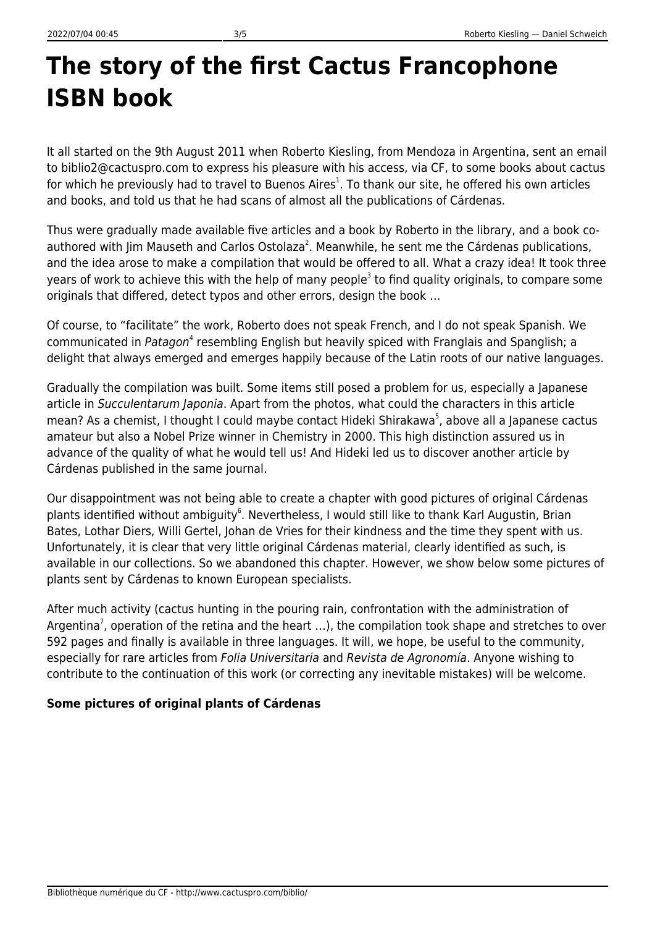## **The story of the first Cactus Francophone ISBN book**

It all started on the 9th August 2011 when Roberto Kiesling, from Mendoza in Argentina, sent an email to biblio2@cactuspro.com to express his pleasure with his access, via CF, to some books about cactus for which he previously had to travel to Buenos Aires<sup>1</sup>. To thank our site, he offered his own articles and books, and told us that he had scans of almost all the publications of Cárdenas.

Thus were gradually made available five articles and a book by Roberto in the library, and a book coauthored with Jim Mauseth and Carlos Ostolaza<sup>2</sup>. Meanwhile, he sent me the Cárdenas publications, and the idea arose to make a compilation that would be offered to all. What a crazy idea! It took three years of work to achieve this with the help of many people<sup>3</sup> to find quality originals, to compare some originals that differed, detect typos and other errors, design the book …

Of course, to "facilitate" the work, Roberto does not speak French, and I do not speak Spanish. We communicated in Patagon<sup>4</sup> resembling English but heavily spiced with Franglais and Spanglish; a delight that always emerged and emerges happily because of the Latin roots of our native languages.

Gradually the compilation was built. Some items still posed a problem for us, especially a Japanese article in Succulentarum Japonia. Apart from the photos, what could the characters in this article mean? As a chemist, I thought I could maybe contact Hideki Shirakawa<sup>5</sup>, above all a Japanese cactus amateur but also a Nobel Prize winner in Chemistry in 2000. This high distinction assured us in advance of the quality of what he would tell us! And Hideki led us to discover another article by Cárdenas published in the same journal.

Our disappointment was not being able to create a chapter with good pictures of original Cárdenas plants identified without ambiguity<sup>6</sup>. Nevertheless, I would still like to thank Karl Augustin, Brian Bates, Lothar Diers, Willi Gertel, Johan de Vries for their kindness and the time they spent with us. Unfortunately, it is clear that very little original Cárdenas material, clearly identified as such, is available in our collections. So we abandoned this chapter. However, we show below some pictures of plants sent by Cárdenas to known European specialists.

After much activity (cactus hunting in the pouring rain, confrontation with the administration of Argentina<sup>7</sup>, operation of the retina and the heart ...), the compilation took shape and stretches to over 592 pages and finally is available in three languages. It will, we hope, be useful to the community, especially for rare articles from Folia Universitaria and Revista de Agronomía. Anyone wishing to contribute to the continuation of this work (or correcting any inevitable mistakes) will be welcome.

#### **Some pictures of original plants of Cárdenas**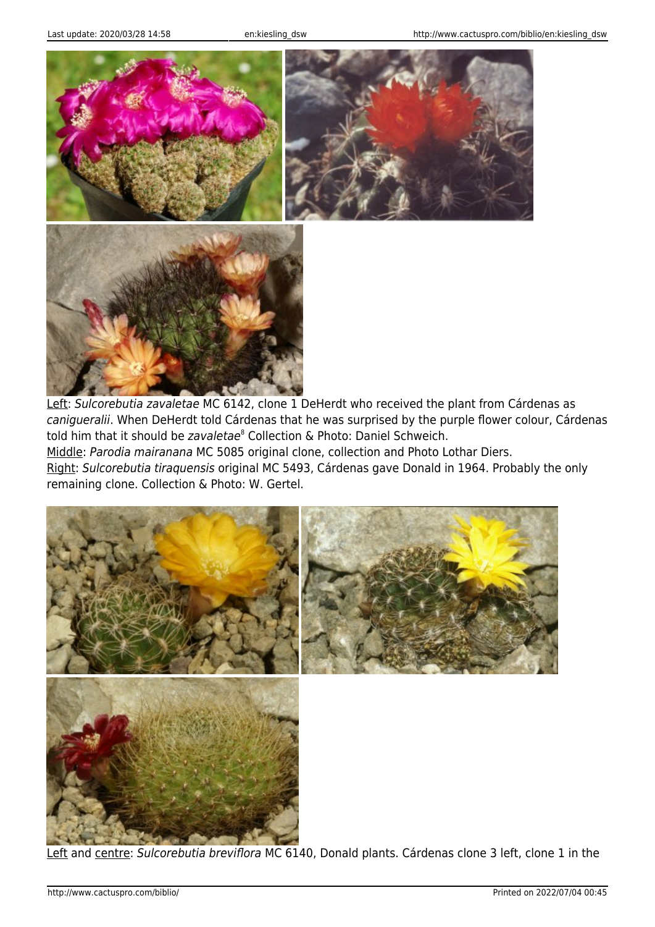



Left: Sulcorebutia zavaletae MC 6142, clone 1 DeHerdt who received the plant from Cárdenas as canigueralii. When DeHerdt told Cárdenas that he was surprised by the purple flower colour, Cárdenas told him that it should be zavaletae<sup>8</sup> Collection & Photo: Daniel Schweich.

Middle: Parodia mairanana MC 5085 original clone, collection and Photo Lothar Diers.

Right: Sulcorebutia tiraquensis original MC 5493, Cárdenas gave Donald in 1964. Probably the only remaining clone. Collection & Photo: W. Gertel.



Left and centre: Sulcorebutia breviflora MC 6140, Donald plants. Cárdenas clone 3 left, clone 1 in the